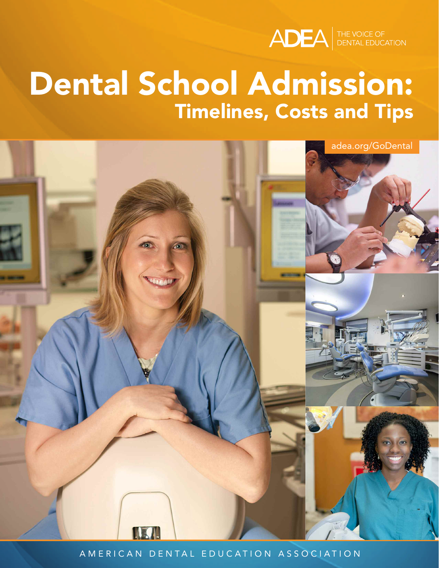

# **Dental School Admission: Timelines, Costs and Tips**



A MERICAN DENTAL EDUCATION ASSOCIATION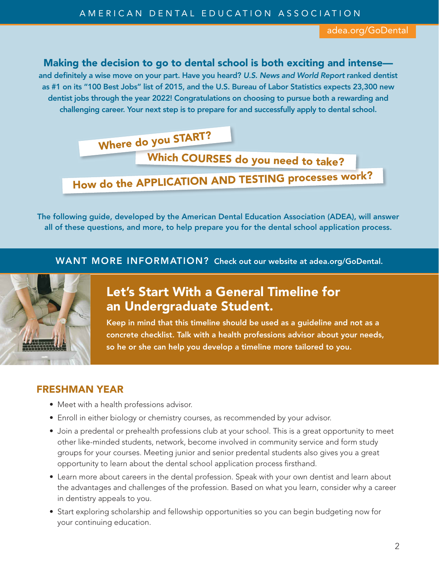#### **Making the decision to go to dental school is both exciting and intense—**

**and definitely a wise move on your part. Have you heard?** *U.S. News and World Report* **ranked dentist** as #1 on its "100 Best Jobs" list of 2015, and the U.S. Bureau of Labor Statistics expects 23,300 new **dentist jobs through the year 2022! Congratulations on choosing to pursue both a rewarding and challenging career. Your next step is to prepare for and successfully apply to dental school.**

**Where do you START?**

**Which COURSES do you need to take?**

**How do the APPLICATION AND TESTING processes work?**

**The following guide, developed by the American Dental Education Association (ADEA), will answer all of these questions, and more, to help prepare you for the dental school application process.**

**WANT MORE INFORMATION? Check out our website at adea.org/GoDental.**



# **Let's Start With a General Timeline for an Undergraduate Student.**

**Keep in mind that this timeline should be used as a guideline and not as a concrete checklist. Talk with a health professions advisor about your needs, so he or she can help you develop a timeline more tailored to you.**

#### **FRESHMAN YEAR**

- Meet with a health professions advisor.
- Enroll in either biology or chemistry courses, as recommended by your advisor.
- Join a predental or prehealth professions club at your school. This is a great opportunity to meet other like-minded students, network, become involved in community service and form study groups for your courses. Meeting junior and senior predental students also gives you a great opportunity to learn about the dental school application process firsthand.
- Learn more about careers in the dental profession. Speak with your own dentist and learn about the advantages and challenges of the profession. Based on what you learn, consider why a career in dentistry appeals to you.
- Start exploring scholarship and fellowship opportunities so you can begin budgeting now for your continuing education.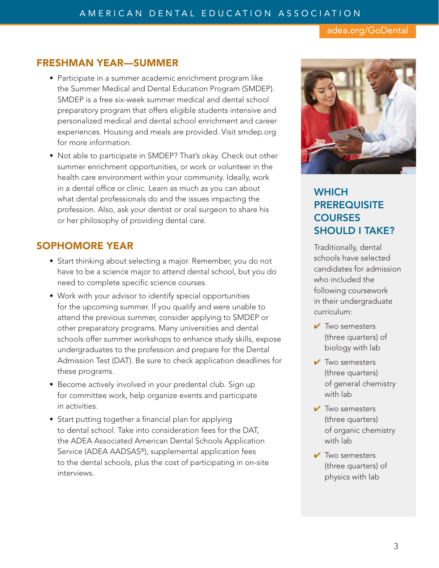#### **FRESHMAN YEAR—SUMMER**

- Participate in a summer academic enrichment program like the Summer Medical and Dental Education Program (SMDEP). SMDEP is a free six-week summer medical and dental school preparatory program that offers eligible students intensive and personalized medical and dental school enrichment and career experiences. Housing and meals are provided. Visit smdep.org for more information.
- Not able to participate in SMDEP? That's okay. Check out other summer enrichment opportunities, or work or volunteer in the health care environment within your community. Ideally, work in a dental office or clinic. Learn as much as you can about what dental professionals do and the issues impacting the profession. Also, ask your dentist or oral surgeon to share his or her philosophy of providing dental care.

#### **SOPHOMORE YEAR**

- Start thinking about selecting a major. Remember, you do not have to be a science major to attend dental school, but you do need to complete specific science courses.
- Work with your advisor to identify special opportunities for the upcoming summer. If you qualify and were unable to attend the previous summer, consider applying to SMDEP or other preparatory programs. Many universities and dental schools offer summer workshops to enhance study skills, expose undergraduates to the profession and prepare for the Dental Admission Test (DAT). Be sure to check application deadlines for these programs.
- Become actively involved in your predental club. Sign up for committee work, help organize events and participate in activities.
- Start putting together a financial plan for applying to dental school. Take into consideration fees for the DAT, the ADEA Associated American Dental Schools Application Service (ADEA AADSAS®), supplemental application fees to the dental schools, plus the cost of participating in on-site interviews.



## **Which PrerequisiTe courses should i TaKe?**

Traditionally, dental schools have selected candidates for admission who included the following coursework in their undergraduate curriculum:

- **✔** Two semesters (three quarters) of biology with lab
- **✔** Two semesters (three quarters) of general chemistry with lab
- **✔** Two semesters (three quarters) of organic chemistry with lab
- **✔** Two semesters (three quarters) of physics with lab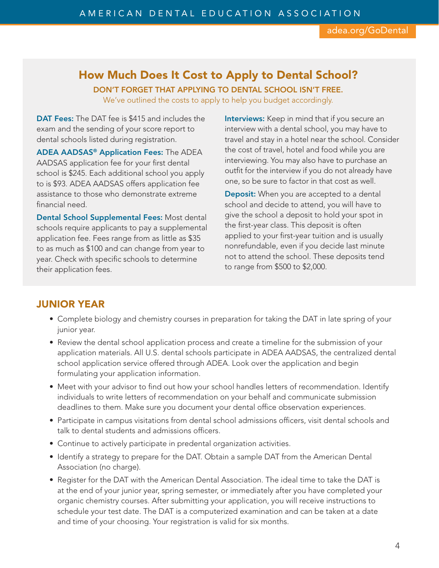## **How Much Does It Cost to Apply to Dental School?**

**DON'T FORGET THAT APPLYING TO DENTAL SCHOOL ISN'T FREE.**

We've outlined the costs to apply to help you budget accordingly.

**DAT Fees:** The DAT fee is \$415 and includes the exam and the sending of your score report to dental schools listed during registration.

**ADEA AADSAS® Application Fees:** The ADEA AADSAS application fee for your first dental school is \$245. Each additional school you apply to is \$93. ADEA AADSAS offers application fee assistance to those who demonstrate extreme financial need.

**Dental School Supplemental Fees:** Most dental schools require applicants to pay a supplemental application fee. Fees range from as little as \$35 to as much as \$100 and can change from year to year. Check with specific schools to determine their application fees.

**Interviews:** Keep in mind that if you secure an interview with a dental school, you may have to travel and stay in a hotel near the school. Consider the cost of travel, hotel and food while you are interviewing. You may also have to purchase an outfit for the interview if you do not already have one, so be sure to factor in that cost as well.

**Deposit:** When you are accepted to a dental school and decide to attend, you will have to give the school a deposit to hold your spot in the first-year class. This deposit is often applied to your first-year tuition and is usually nonrefundable, even if you decide last minute not to attend the school. These deposits tend to range from \$500 to \$2,000.

#### **JUNIOR YEAR**

- Complete biology and chemistry courses in preparation for taking the DAT in late spring of your junior year.
- Review the dental school application process and create a timeline for the submission of your application materials. All U.S. dental schools participate in ADEA AADSAS, the centralized dental school application service offered through ADEA. Look over the application and begin formulating your application information.
- Meet with your advisor to find out how your school handles letters of recommendation. Identify individuals to write letters of recommendation on your behalf and communicate submission deadlines to them. Make sure you document your dental office observation experiences.
- Participate in campus visitations from dental school admissions officers, visit dental schools and talk to dental students and admissions officers.
- Continue to actively participate in predental organization activities.
- Identify a strategy to prepare for the DAT. Obtain a sample DAT from the American Dental Association (no charge).
- Register for the DAT with the American Dental Association. The ideal time to take the DAT is at the end of your junior year, spring semester, or immediately after you have completed your organic chemistry courses. After submitting your application, you will receive instructions to schedule your test date. The DAT is a computerized examination and can be taken at a date and time of your choosing. Your registration is valid for six months.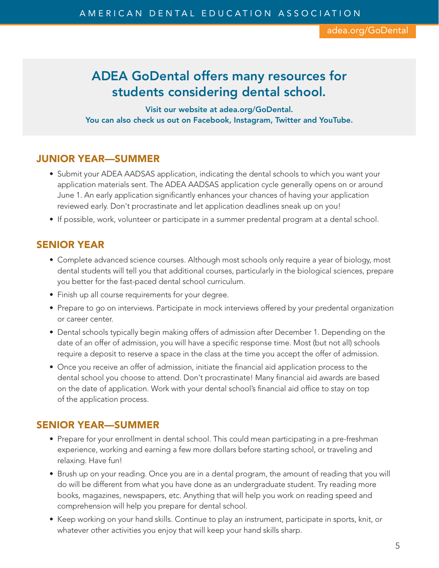# **adea Godental offers many resources for students considering dental school.**

**Visit our website at adea.org/Godental. You can also check us out on Facebook, instagram, Twitter and YouTube.**

#### **JUNIOR YEAR—SUMMER**

- Submit your ADEA AADSAS application, indicating the dental schools to which you want your application materials sent. The ADEA AADSAS application cycle generally opens on or around June 1. An early application significantly enhances your chances of having your application reviewed early. Don't procrastinate and let application deadlines sneak up on you!
- If possible, work, volunteer or participate in a summer predental program at a dental school.

#### **SENIOR YEAR**

- Complete advanced science courses. Although most schools only require a year of biology, most dental students will tell you that additional courses, particularly in the biological sciences, prepare you better for the fast-paced dental school curriculum.
- Finish up all course requirements for your degree.
- Prepare to go on interviews. Participate in mock interviews offered by your predental organization or career center.
- Dental schools typically begin making offers of admission after December 1. Depending on the date of an offer of admission, you will have a specific response time. Most (but not all) schools require a deposit to reserve a space in the class at the time you accept the offer of admission.
- Once you receive an offer of admission, initiate the financial aid application process to the dental school you choose to attend. Don't procrastinate! Many financial aid awards are based on the date of application. Work with your dental school's financial aid office to stay on top of the application process.

#### **SENIOR YEAR—SUMMER**

- Prepare for your enrollment in dental school. This could mean participating in a pre-freshman experience, working and earning a few more dollars before starting school, or traveling and relaxing. Have fun!
- Brush up on your reading. Once you are in a dental program, the amount of reading that you will do will be different from what you have done as an undergraduate student. Try reading more books, magazines, newspapers, etc. Anything that will help you work on reading speed and comprehension will help you prepare for dental school.
- Keep working on your hand skills. Continue to play an instrument, participate in sports, knit, or whatever other activities you enjoy that will keep your hand skills sharp.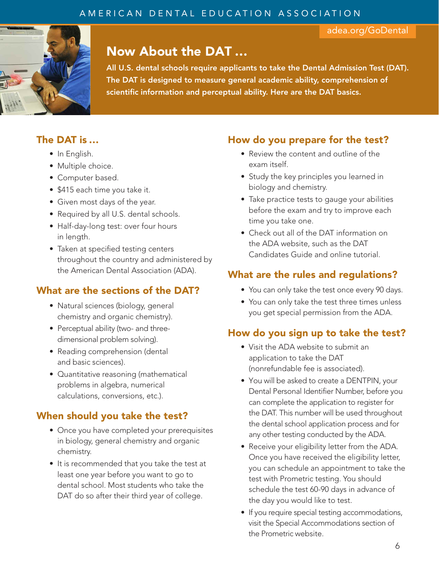

# **Now About the DAT …**

**all u.s. dental schools require applicants to take the dental admission Test (daT). The daT is designed to measure general academic ability, comprehension of scientific information and perceptual ability. here are the daT basics.**

## **The DAT is …**

- In English.
- Multiple choice.
- Computer based.
- \$415 each time you take it.
- Given most days of the year.
- Required by all U.S. dental schools.
- Half-day-long test: over four hours in length.
- Taken at specified testing centers throughout the country and administered by the American Dental Association (ADA).

## **What are the sections of the DAT?**

- Natural sciences (biology, general chemistry and organic chemistry).
- Perceptual ability (two- and threedimensional problem solving).
- Reading comprehension (dental and basic sciences).
- Quantitative reasoning (mathematical problems in algebra, numerical calculations, conversions, etc.).

## **When should you take the test?**

- Once you have completed your prerequisites in biology, general chemistry and organic chemistry.
- It is recommended that you take the test at least one year before you want to go to dental school. Most students who take the DAT do so after their third year of college.

## **How do you prepare for the test?**

- Review the content and outline of the exam itself.
- Study the key principles you learned in biology and chemistry.
- Take practice tests to gauge your abilities before the exam and try to improve each time you take one.
- Check out all of the DAT information on the ADA website, such as the DAT Candidates Guide and online tutorial.

## **What are the rules and regulations?**

- You can only take the test once every 90 days.
- You can only take the test three times unless you get special permission from the ADA.

## **How do you sign up to take the test?**

- Visit the ADA website to submit an application to take the DAT (nonrefundable fee is associated).
- You will be asked to create a DENTPIN, your Dental Personal Identifier Number, before you can complete the application to register for the DAT. This number will be used throughout the dental school application process and for any other testing conducted by the ADA.
- Receive your eligibility letter from the ADA. Once you have received the eligibility letter, you can schedule an appointment to take the test with Prometric testing. You should schedule the test 60-90 days in advance of the day you would like to test.
- If you require special testing accommodations, visit the Special Accommodations section of the Prometric website.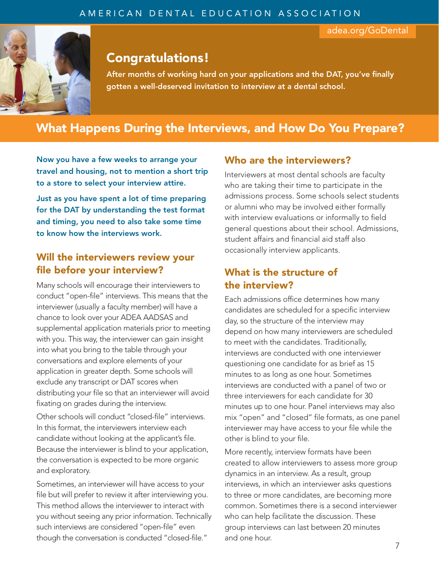

# **Congratulations!**

**after months of working hard on your applications and the daT, you've finally gotten a well-deserved invitation to interview at a dental school.**

# **What Happens During the Interviews, and How Do You Prepare?**

**Now you have a few weeks to arrange your travel and housing, not to mention a short trip to a store to select your interview attire.**

**Just as you have spent a lot of time preparing for the DAT by understanding the test format and timing, you need to also take some time to know how the interviews work.**

## **Will the interviewers review your file before your interview?**

Many schools will encourage their interviewers to conduct "open-file" interviews. This means that the interviewer (usually a faculty member) will have a chance to look over your ADEA AADSAS and supplemental application materials prior to meeting with you. This way, the interviewer can gain insight into what you bring to the table through your conversations and explore elements of your application in greater depth. Some schools will exclude any transcript or DAT scores when distributing your file so that an interviewer will avoid fixating on grades during the interview.

Other schools will conduct "closed-file" interviews. In this format, the interviewers interview each candidate without looking at the applicant's file. Because the interviewer is blind to your application, the conversation is expected to be more organic and exploratory.

Sometimes, an interviewer will have access to your file but will prefer to review it after interviewing you. This method allows the interviewer to interact with you without seeing any prior information. Technically such interviews are considered "open-file" even though the conversation is conducted "closed-file."

#### **Who are the interviewers?**

Interviewers at most dental schools are faculty who are taking their time to participate in the admissions process. Some schools select students or alumni who may be involved either formally with interview evaluations or informally to field general questions about their school. Admissions, student affairs and financial aid staff also occasionally interview applicants.

#### **What is the structure of the interview?**

Each admissions office determines how many candidates are scheduled for a specific interview day, so the structure of the interview may depend on how many interviewers are scheduled to meet with the candidates. Traditionally, interviews are conducted with one interviewer questioning one candidate for as brief as 15 minutes to as long as one hour. Sometimes interviews are conducted with a panel of two or three interviewers for each candidate for 30 minutes up to one hour. Panel interviews may also mix "open" and "closed" file formats, as one panel interviewer may have access to your file while the other is blind to your file.

More recently, interview formats have been created to allow interviewers to assess more group dynamics in an interview. As a result, group interviews, in which an interviewer asks questions to three or more candidates, are becoming more common. Sometimes there is a second interviewer who can help facilitate the discussion. These group interviews can last between 20 minutes and one hour.